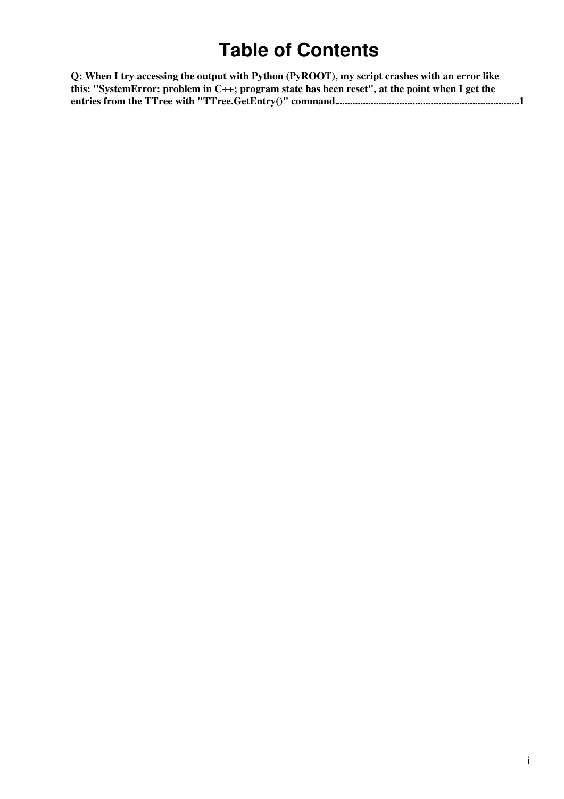## **Table of Contents**

| Q: When I try accessing the output with Python (PyROOT), my script crashes with an error like  |
|------------------------------------------------------------------------------------------------|
| this: "SystemError: problem in C++; program state has been reset", at the point when I get the |
|                                                                                                |